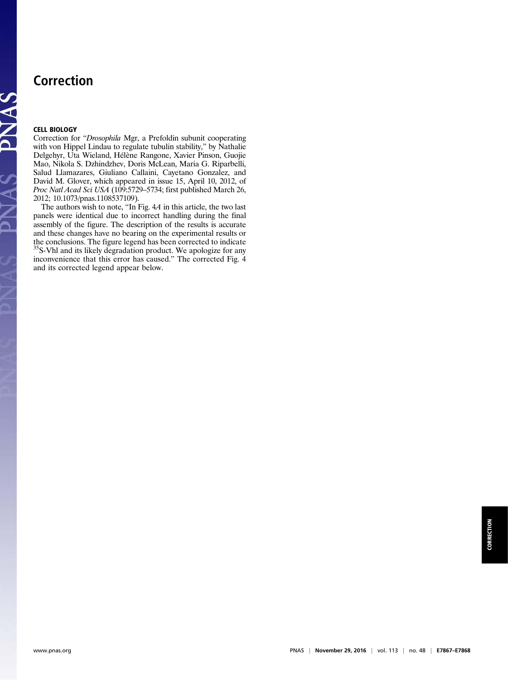## Correction

## CELL BIOLOGY

PNAS PNAS

Correction for "Drosophila Mgr, a Prefoldin subunit cooperating with von Hippel Lindau to regulate tubulin stability," by Nathalie Delgehyr, Uta Wieland, Hélène Rangone, Xavier Pinson, Guojie Mao, Nikola S. Dzhindzhev, Doris McLean, Maria G. Riparbelli, Salud Llamazares, Giuliano Callaini, Cayetano Gonzalez, and David M. Glover, which appeared in issue 15, April 10, 2012, of Proc Natl Acad Sci USA (109:5729–5734; first published March 26, 2012; 10.1073/pnas.1108537109).

The authors wish to note, "In Fig. 4A in this article, the two last panels were identical due to incorrect handling during the final assembly of the figure. The description of the results is accurate and these changes have no bearing on the experimental results or the conclusions. The figure legend has been corrected to indicate 35S-Vhl and its likely degradation product. We apologize for any inconvenience that this error has caused." The corrected Fig. 4 and its corrected legend appear below.